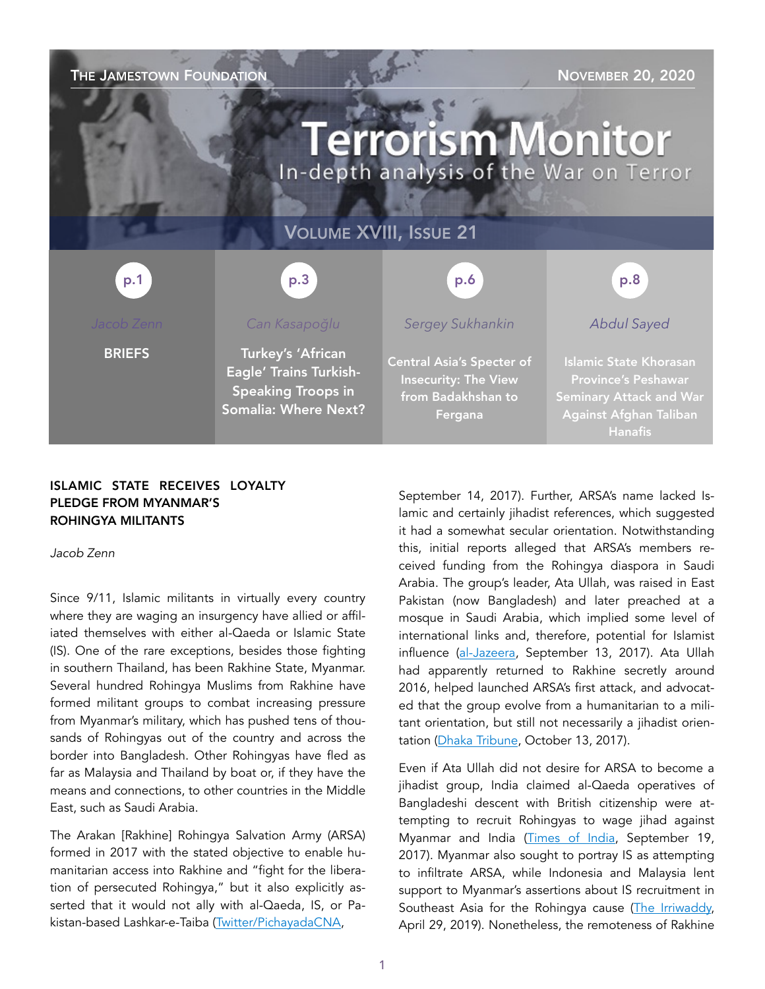| THE JAMESTOWN FOUNDATION<br><b>NOVEMBER 20, 2020</b><br><b>Terrorism Monitor</b><br>In-depth analysis of the War on Terror |                                                                                                         |                                                                                                  |                                                                                                                                           |
|----------------------------------------------------------------------------------------------------------------------------|---------------------------------------------------------------------------------------------------------|--------------------------------------------------------------------------------------------------|-------------------------------------------------------------------------------------------------------------------------------------------|
| <b>VOLUME XVIII, ISSUE 21</b>                                                                                              |                                                                                                         |                                                                                                  |                                                                                                                                           |
| p.1                                                                                                                        | p.3                                                                                                     | p.6                                                                                              | p.8                                                                                                                                       |
| Jacob Zenn                                                                                                                 | Can Kasapoğlu                                                                                           | <b>Sergey Sukhankin</b>                                                                          | <b>Abdul Sayed</b>                                                                                                                        |
| <b>BRIEFS</b>                                                                                                              | Turkey's 'African<br>Eagle' Trains Turkish-<br><b>Speaking Troops in</b><br><b>Somalia: Where Next?</b> | <b>Central Asia's Specter of</b><br><b>Insecurity: The View</b><br>from Badakhshan to<br>Fergana | <b>Islamic State Khorasan</b><br><b>Province's Peshawar</b><br><b>Seminary Attack and War</b><br>Against Afghan Taliban<br><b>Hanafis</b> |

# ISLAMIC STATE RECEIVES LOYALTY PLEDGE FROM MYANMAR'S ROHINGYA MILITANTS

*Jacob Zenn* 

Since 9/11, Islamic militants in virtually every country where they are waging an insurgency have allied or affiliated themselves with either al-Qaeda or Islamic State (IS). One of the rare exceptions, besides those fighting in southern Thailand, has been Rakhine State, Myanmar. Several hundred Rohingya Muslims from Rakhine have formed militant groups to combat increasing pressure from Myanmar's military, which has pushed tens of thousands of Rohingyas out of the country and across the border into Bangladesh. Other Rohingyas have fled as far as Malaysia and Thailand by boat or, if they have the means and connections, to other countries in the Middle East, such as Saudi Arabia.

The Arakan [Rakhine] Rohingya Salvation Army (ARSA) formed in 2017 with the stated objective to enable humanitarian access into Rakhine and "fight for the liberation of persecuted Rohingya," but it also explicitly asserted that it would not ally with al-Qaeda, IS, or Pakistan-based Lashkar-e-Taiba ([Twitter/PichayadaCNA,](https://twitter.com/PichayadaCNA/status/908227465096585216)

September 14, 2017). Further, ARSA's name lacked Islamic and certainly jihadist references, which suggested it had a somewhat secular orientation. Notwithstanding this, initial reports alleged that ARSA's members received funding from the Rohingya diaspora in Saudi Arabia. The group's leader, Ata Ullah, was raised in East Pakistan (now Bangladesh) and later preached at a mosque in Saudi Arabia, which implied some level of international links and, therefore, potential for Islamist influence ([al-Jazeera,](https://www.aljazeera.com/news/2017/9/13/arsa-who-are-the-arakan-rohingya-salvation-army) September 13, 2017). Ata Ullah had apparently returned to Rakhine secretly around 2016, helped launched ARSA's first attack, and advocated that the group evolve from a humanitarian to a militant orientation, but still not necessarily a jihadist orien-tation [\(Dhaka Tribune,](https://www.dhakatribune.com/world/south-asia/2017/10/20/ata-ullah-man-heart-myanmar-conflict/) October 13, 2017).

Even if Ata Ullah did not desire for ARSA to become a jihadist group, India claimed al-Qaeda operatives of Bangladeshi descent with British citizenship were attempting to recruit Rohingyas to wage jihad against Myanmar and India [\(Times of India](https://timesofindia.indiatimes.com/city/delhi/al-qaida-man-on-mission-to-recruit-rohingya-youth-held-in-delhi/articleshow/60739539.cms), September 19, 2017). Myanmar also sought to portray IS as attempting to infiltrate ARSA, while Indonesia and Malaysia lent support to Myanmar's assertions about IS recruitment in Southeast Asia for the Rohingya cause [\(The Irriwaddy,](https://www.irrawaddy.com/news/burma/isis-threat-n-rakhine-govt-spokesperson.html) April 29, 2019). Nonetheless, the remoteness of Rakhine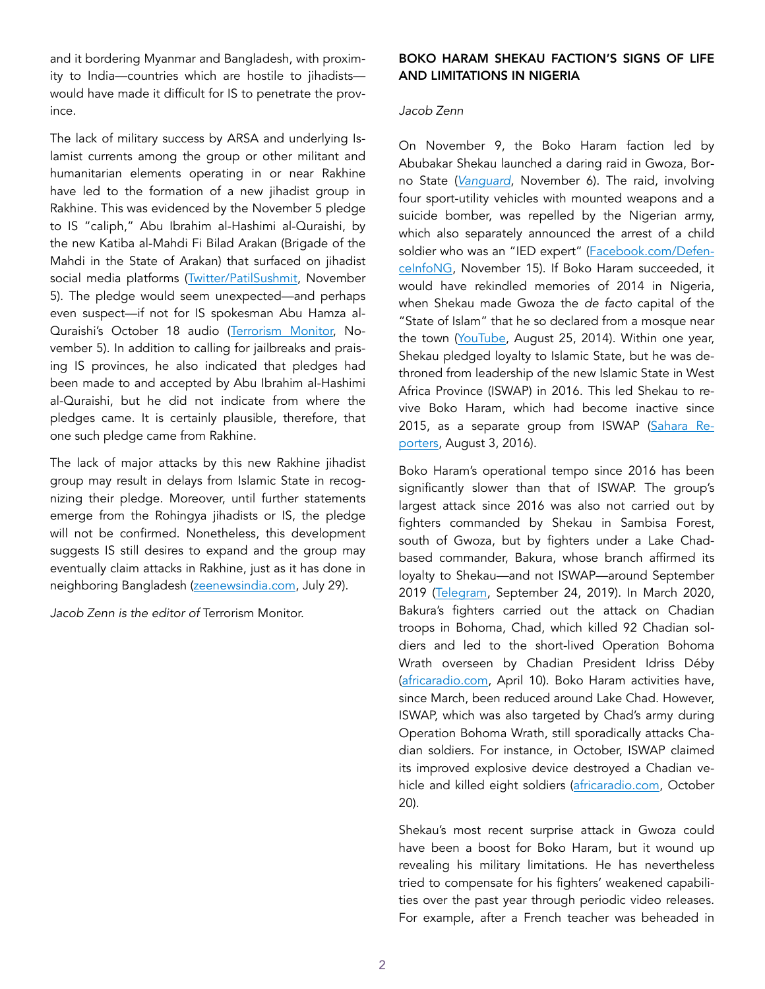and it bordering Myanmar and Bangladesh, with proximity to India—countries which are hostile to jihadists would have made it difficult for IS to penetrate the province.

The lack of military success by ARSA and underlying Islamist currents among the group or other militant and humanitarian elements operating in or near Rakhine have led to the formation of a new jihadist group in Rakhine. This was evidenced by the November 5 pledge to IS "caliph," Abu Ibrahim al-Hashimi al-Quraishi, by the new Katiba al-Mahdi Fi Bilad Arakan (Brigade of the Mahdi in the State of Arakan) that surfaced on jihadist social media platforms [\(Twitter/PatilSushmit](https://twitter.com/PatilSushmit/status/1324040292123594755), November 5). The pledge would seem unexpected—and perhaps even suspect—if not for IS spokesman Abu Hamza al-Quraishi's October 18 audio ([Terrorism Monitor,](https://jamestown.org/program/briefs-338/) November 5). In addition to calling for jailbreaks and praising IS provinces, he also indicated that pledges had been made to and accepted by Abu Ibrahim al-Hashimi al-Quraishi, but he did not indicate from where the pledges came. It is certainly plausible, therefore, that one such pledge came from Rakhine.

The lack of major attacks by this new Rakhine jihadist group may result in delays from Islamic State in recognizing their pledge. Moreover, until further statements emerge from the Rohingya jihadists or IS, the pledge will not be confirmed. Nonetheless, this development suggests IS still desires to expand and the group may eventually claim attacks in Rakhine, just as it has done in neighboring Bangladesh [\(zeenewsindia.com,](https://zeenews.india.com/world/bangladesh-isis-claims-responsibility-for-attack-on-dhaka-police-station-2299396.html) July 29).

*Jacob Zenn is the editor of* Terrorism Monitor.

# BOKO HARAM SHEKAU FACTION'S SIGNS OF LIFE AND LIMITATIONS IN NIGERIA

## *Jacob Zenn*

On November 9, the Boko Haram faction led by Abubakar Shekau launched a daring raid in Gwoza, Borno State (*[Vanguard](https://www.vanguardngr.com/2020/11/breaking-boko-haram-launches-fresh-attack-in-gwoza-town/)*, November 6). The raid, involving four sport-utility vehicles with mounted weapons and a suicide bomber, was repelled by the Nigerian army, which also separately announced the arrest of a child soldier who was an "IED expert" ([Facebook.com/Defen](https://www.facebook.com/DefenceInfoNG/posts/3456949667745797)[ceInfoNG](https://www.facebook.com/DefenceInfoNG/posts/3456949667745797), November 15). If Boko Haram succeeded, it would have rekindled memories of 2014 in Nigeria, when Shekau made Gwoza the *de facto* capital of the "State of Islam" that he so declared from a mosque near the town [\(YouTube,](https://unmaskingbokoharam.com/2019/04/06/nigerian-army-gwoza-incident-report-august-5-2014/) August 25, 2014). Within one year, Shekau pledged loyalty to Islamic State, but he was dethroned from leadership of the new Islamic State in West Africa Province (ISWAP) in 2016. This led Shekau to revive Boko Haram, which had become inactive since 2015, as a separate group from ISWAP ([Sahara Re](http://saharareporters.com/2016/08/03/boko-haram-abubakar-shekau-reappears-again-after-isis-named-his-successor-claims-he-was)[porters](http://saharareporters.com/2016/08/03/boko-haram-abubakar-shekau-reappears-again-after-isis-named-his-successor-claims-he-was), August 3, 2016).

Boko Haram's operational tempo since 2016 has been significantly slower than that of ISWAP. The group's largest attack since 2016 was also not carried out by fighters commanded by Shekau in Sambisa Forest, south of Gwoza, but by fighters under a Lake Chadbased commander, Bakura, whose branch affirmed its loyalty to Shekau—and not ISWAP—around September 2019 ([Telegram,](https://unmaskingbokoharam.com/2019/09/24/boko-haram-abubakar-shekau-message-of-glad-tidings-and-advice-to-my-brothers-in-allah-in-lake-chad-september-23-2019/) September 24, 2019). In March 2020, Bakura's fighters carried out the attack on Chadian troops in Bohoma, Chad, which killed 92 Chadian soldiers and led to the short-lived Operation Bohoma Wrath overseen by Chadian President Idriss Déby ([africaradio.com,](https://www.africaradio.com/news/le-succes-de-l-offensive-eclair-du-tchad-contre-les-jihadistes-sera-t-il-durable-166454) April 10). Boko Haram activities have, since March, been reduced around Lake Chad. However, ISWAP, which was also targeted by Chad's army during Operation Bohoma Wrath, still sporadically attacks Chadian soldiers. For instance, in October, ISWAP claimed its improved explosive device destroyed a Chadian vehicle and killed eight soldiers [\(africaradio.com](https://www.africaradio.com/news/six-soldats-tues-par-des-jihadistes-de-boko-haram-au-tchad-174007), October 20).

Shekau's most recent surprise attack in Gwoza could have been a boost for Boko Haram, but it wound up revealing his military limitations. He has nevertheless tried to compensate for his fighters' weakened capabilities over the past year through periodic video releases. For example, after a French teacher was beheaded in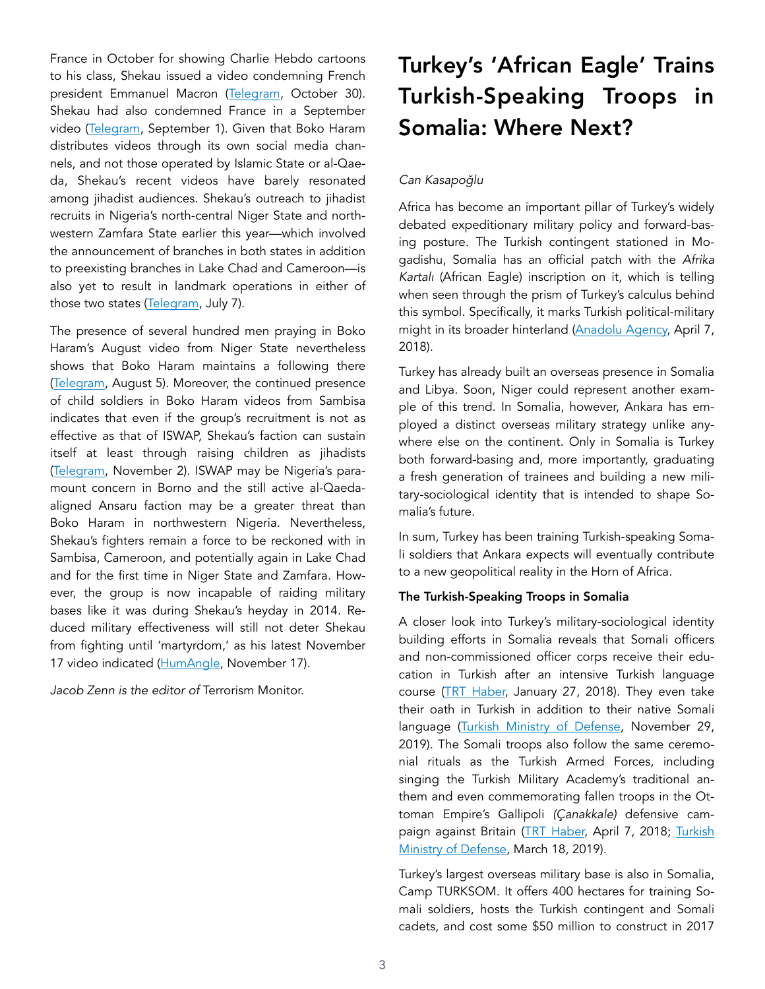France in October for showing Charlie Hebdo cartoons to his class, Shekau issued a video condemning French president Emmanuel Macron ([Telegram](https://unmaskingbokoharam.com/2020/11/12/boko-haram-abubakar-shekau-audio-message-to-emmanuel-macron-october-30-2020/), October 30). Shekau had also condemned France in a September video ([Telegram](https://unmaskingbokoharam.com/2020/09/06/boko-haram-abubakar-shekau-video-message-to-france-september-1-2020/), September 1). Given that Boko Haram distributes videos through its own social media channels, and not those operated by Islamic State or al-Qaeda, Shekau's recent videos have barely resonated among jihadist audiences. Shekau's outreach to jihadist recruits in Nigeria's north-central Niger State and northwestern Zamfara State earlier this year—which involved the announcement of branches in both states in addition to preexisting branches in Lake Chad and Cameroon—is also yet to result in landmark operations in either of those two states ([Telegram](https://unmaskingbokoharam.com/2020/07/10/boko-haram-greetings-to-the-mujahideen-from-niger-state-video-july-7-2020/), July 7).

The presence of several hundred men praying in Boko Haram's August video from Niger State nevertheless shows that Boko Haram maintains a following there ([Telegram,](https://unmaskingbokoharam.com/2020/08/07/boko-haram-eid-al-adha-videos-from-cameroon-lake-chad-niger-state-and-sambisa-forest-august-5-2020/) August 5). Moreover, the continued presence of child soldiers in Boko Haram videos from Sambisa indicates that even if the group's recruitment is not as effective as that of ISWAP, Shekau's faction can sustain itself at least through raising children as jihadists ([Telegram,](https://unmaskingbokoharam.com/2020/11/12/boko-haram-al-wala-wal-bara-2-november-2-2020/) November 2). ISWAP may be Nigeria's paramount concern in Borno and the still active al-Qaedaaligned Ansaru faction may be a greater threat than Boko Haram in northwestern Nigeria. Nevertheless, Shekau's fighters remain a force to be reckoned with in Sambisa, Cameroon, and potentially again in Lake Chad and for the first time in Niger State and Zamfara. However, the group is now incapable of raiding military bases like it was during Shekau's heyday in 2014. Reduced military effectiveness will still not deter Shekau from fighting until 'martyrdom,' as his latest November 17 video indicated [\(HumAngle](https://humangle.ng/nobody-can-arrest-me-im-doing-gods-work-shekau-boasts-in-a-new-video/), November 17).

*Jacob Zenn is the editor of* Terrorism Monitor.

# Turkey's 'African Eagle' Trains Turkish-Speaking Troops in Somalia: Where Next?

# *Can Kasapo*ğ*lu*

Africa has become an important pillar of Turkey's widely debated expeditionary military policy and forward-basing posture. The Turkish contingent stationed in Mogadishu, Somalia has an official patch with the *Afrika Kartalı* (African Eagle) inscription on it, which is telling when seen through the prism of Turkey's calculus behind this symbol. Specifically, it marks Turkish political-military might in its broader hinterland ([Anadolu Agency,](https://www.aa.com.tr/tr/dunya/turkiyeden-somalili-askerlere-ozel-egitim/1110996) April 7, 2018).

Turkey has already built an overseas presence in Somalia and Libya. Soon, Niger could represent another example of this trend. In Somalia, however, Ankara has employed a distinct overseas military strategy unlike anywhere else on the continent. Only in Somalia is Turkey both forward-basing and, more importantly, graduating a fresh generation of trainees and building a new military-sociological identity that is intended to shape Somalia's future.

In sum, Turkey has been training Turkish-speaking Somali soldiers that Ankara expects will eventually contribute to a new geopolitical reality in the Horn of Africa.

# The Turkish-Speaking Troops in Somalia

A closer look into Turkey's military-sociological identity building efforts in Somalia reveals that Somali officers and non-commissioned officer corps receive their education in Turkish after an intensive Turkish language course ([TRT Haber,](https://www.youtube.com/watch?v=n9atLNC9f1A) January 27, 2018). They even take their oath in Turkish in addition to their native Somali language [\(Turkish Ministry of Defense,](https://www.youtube.com/watch?v=48Z6LAhae0U) November 29, 2019). The Somali troops also follow the same ceremonial rituals as the Turkish Armed Forces, including singing the Turkish Military Academy's traditional anthem and even commemorating fallen troops in the Ottoman Empire's Gallipoli *(Çanakkale)* defensive campaign against Britain ([TRT Haber,](https://www.trthaber.com/haber/turkiye/turkiye-somalili-askerlere-ozel-egitim-veriyor-359395.html) April 7, 2018; [Turkish](https://www.msb.gov.tr/SlaytHaber/1832019-76104) [Ministry of Defense,](https://www.msb.gov.tr/SlaytHaber/1832019-76104) March 18, 2019).

Turkey's largest overseas military base is also in Somalia, Camp TURKSOM. It offers 400 hectares for training Somali soldiers, hosts the Turkish contingent and Somali cadets, and cost some \$50 million to construct in 2017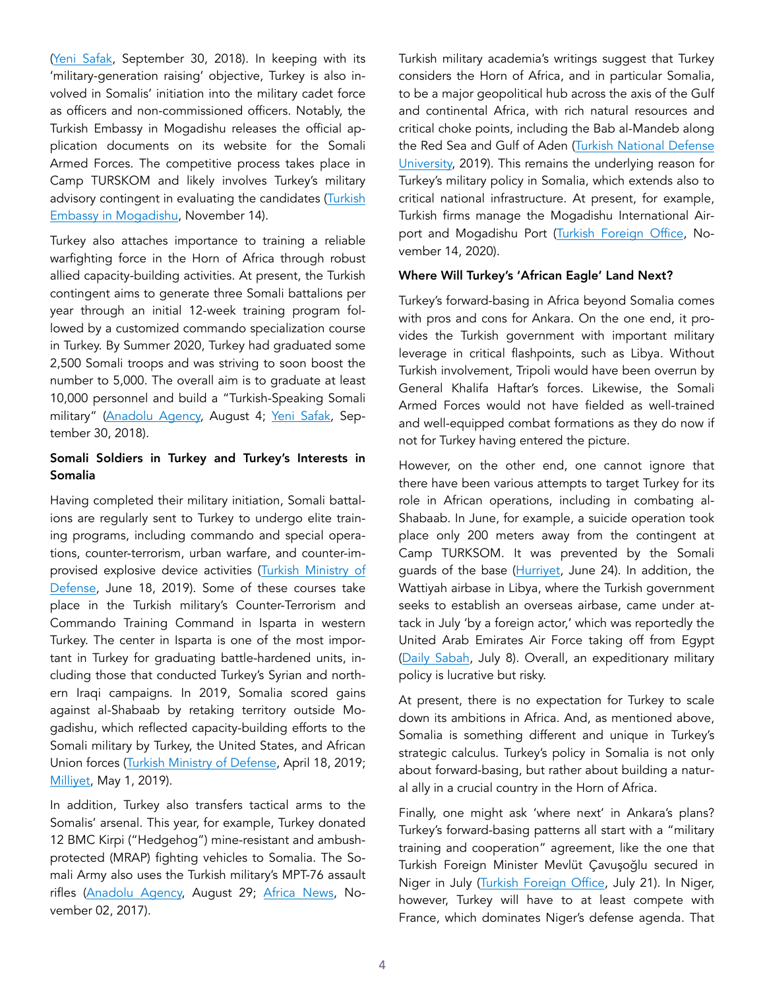([Yeni Safak,](https://www.yenisafak.com/dunya/somali-ordusu-turkce-konusuyor-3398939) September 30, 2018). In keeping with its 'military-generation raising' objective, Turkey is also involved in Somalis' initiation into the military cadet force as officers and non-commissioned officers. Notably, the Turkish Embassy in Mogadishu releases the official application documents on its website for the Somali Armed Forces. The competitive process takes place in Camp TURSKOM and likely involves Turkey's military advisory contingent in evaluating the candidates (Turkish [Embassy in Mogadishu,](http://mogadisu.be.mfa.gov.tr/Mission/ShowAnnouncement/372277) November 14).

Turkey also attaches importance to training a reliable warfighting force in the Horn of Africa through robust allied capacity-building activities. At present, the Turkish contingent aims to generate three Somali battalions per year through an initial 12-week training program followed by a customized commando specialization course in Turkey. By Summer 2020, Turkey had graduated some 2,500 Somali troops and was striving to soon boost the number to 5,000. The overall aim is to graduate at least 10,000 personnel and build a "Turkish-Speaking Somali military" [\(Anadolu Agency,](https://www.aa.com.tr/en/africa/1-of-3-somalian-troops-to-be-trained-by-turkey-envoy/1931275) August 4; [Yeni Safak](https://www.yenisafak.com/dunya/somali-ordusu-turkce-konusuyor-3398939), September 30, 2018).

# Somali Soldiers in Turkey and Turkey's Interests in Somalia

Having completed their military initiation, Somali battalions are regularly sent to Turkey to undergo elite training programs, including commando and special operations, counter-terrorism, urban warfare, and counter-improvised explosive device activities ([Turkish Ministry of](https://twitter.com/tcsavunma/status/1140960887102201862)  [Defense,](https://twitter.com/tcsavunma/status/1140960887102201862) June 18, 2019). Some of these courses take place in the Turkish military's Counter-Terrorism and Commando Training Command in Isparta in western Turkey. The center in Isparta is one of the most important in Turkey for graduating battle-hardened units, including those that conducted Turkey's Syrian and northern Iraqi campaigns. In 2019, Somalia scored gains against al-Shabaab by retaking territory outside Mogadishu, which reflected capacity-building efforts to the Somali military by Turkey, the United States, and African Union forces [\(Turkish Ministry of Defense](https://www.msb.gov.tr/SlaytHaber/1642019-04044), April 18, 2019; [Milliyet](https://www.milliyet.com.tr/dunya/somalili-komandolar-stratejik-kasabayi-geri-aldi-2866930), May 1, 2019).

In addition, Turkey also transfers tactical arms to the Somalis' arsenal. This year, for example, Turkey donated 12 BMC Kirpi ("Hedgehog") mine-resistant and ambushprotected (MRAP) fighting vehicles to Somalia. The Somali Army also uses the Turkish military's MPT-76 assault rifles [\(Anadolu Agency,](https://www.aa.com.tr/tr/bilim-teknoloji/bmcnin-zirhli-araclarinin-son-duragi-somali-oldu/1957057) August 29; [Africa News](https://www.africanews.com/2017/11/02/turkey-delivers-new-assault-rifles-to-somalia-to-fight-al-shabaab-insurgency/), November 02, 2017).

Turkish military academia's writings suggest that Turkey considers the Horn of Africa, and in particular Somalia, to be a major geopolitical hub across the axis of the Gulf and continental Africa, with rich natural resources and critical choke points, including the Bab al-Mandeb along the Red Sea and Gulf of Aden [\(Turkish National Defense](https://msu.edu.tr/enstituler/atasaren/SOMALI.pdf)  [University,](https://msu.edu.tr/enstituler/atasaren/SOMALI.pdf) 2019). This remains the underlying reason for Turkey's military policy in Somalia, which extends also to critical national infrastructure. At present, for example, Turkish firms manage the Mogadishu International Air-port and Mogadishu Port ([Turkish Foreign Office](http://www.mfa.gov.tr/turkiye-somali-siyasi-iliskileri.tr.mfa), November 14, 2020).

#### Where Will Turkey's 'African Eagle' Land Next?

Turkey's forward-basing in Africa beyond Somalia comes with pros and cons for Ankara. On the one end, it provides the Turkish government with important military leverage in critical flashpoints, such as Libya. Without Turkish involvement, Tripoli would have been overrun by General Khalifa Haftar's forces. Likewise, the Somali Armed Forces would not have fielded as well-trained and well-equipped combat formations as they do now if not for Turkey having entered the picture.

However, on the other end, one cannot ignore that there have been various attempts to target Turkey for its role in African operations, including in combating al-Shabaab. In June, for example, a suicide operation took place only 200 meters away from the contingent at Camp TURKSOM. It was prevented by the Somali guards of the base ([Hurriyet](https://www.hurriyet.com.tr/dunya/somalide-turk-ussu-yakininda-intihar-saldirisi-41548919), June 24). In addition, the Wattiyah airbase in Libya, where the Turkish government seeks to establish an overseas airbase, came under attack in July 'by a foreign actor,' which was reportedly the United Arab Emirates Air Force taking off from Egypt ([Daily Sabah](https://www.dailysabah.com/opinion/columns/the-meaning-of-the-al-watiya-air-base-attack), July 8). Overall, an expeditionary military policy is lucrative but risky.

At present, there is no expectation for Turkey to scale down its ambitions in Africa. And, as mentioned above, Somalia is something different and unique in Turkey's strategic calculus. Turkey's policy in Somalia is not only about forward-basing, but rather about building a natural ally in a crucial country in the Horn of Africa.

Finally, one might ask 'where next' in Ankara's plans? Turkey's forward-basing patterns all start with a "military training and cooperation" agreement, like the one that Turkish Foreign Minister Mevlüt Çavuşoğlu secured in Niger in July [\(Turkish Foreign Office](http://www.mfa.gov.tr/sayin-bakanimizin-nijer-ziyareti.tr.mfa), July 21). In Niger, however, Turkey will have to at least compete with France, which dominates Niger's defense agenda. That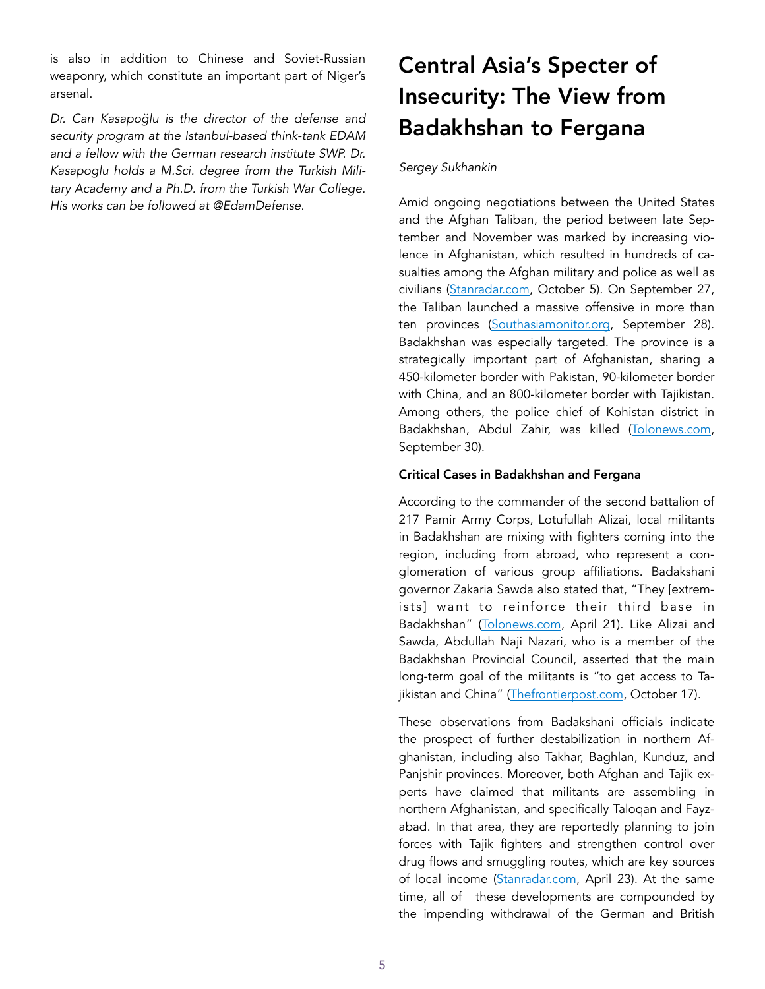is also in addition to Chinese and Soviet-Russian weaponry, which constitute an important part of Niger's arsenal.

*Dr. Can Kasapo*ğ*lu is the director of the defense and security program at the Istanbul-based think-tank EDAM and a fellow with the German research institute SWP. Dr. Kasapoglu holds a M.Sci. degree from the Turkish Military Academy and a Ph.D. from the Turkish War College. His works can be followed at @EdamDefense.* 

# Central Asia's Specter of Insecurity: The View from Badakhshan to Fergana

#### *Sergey Sukhankin*

Amid ongoing negotiations between the United States and the Afghan Taliban, the period between late September and November was marked by increasing violence in Afghanistan, which resulted in hundreds of casualties among the Afghan military and police as well as civilians [\(Stanradar.com,](https://stanradar.com/news/full/41570-neozhidannye-ataki-talibana-v-tihih-provintsijah-svodka-boevyh-dejstvij-v-afganistane.html) October 5). On September 27, the Taliban launched a massive offensive in more than ten provinces ([Southasiamonitor.org](https://southasiamonitor.org/afghanistan/taliban-attacks-24-afghan-provinces-day), September 28). Badakhshan was especially targeted. The province is a strategically important part of Afghanistan, sharing a 450-kilometer border with Pakistan, 90-kilometer border with China, and an 800-kilometer border with Tajikistan. Among others, the police chief of Kohistan district in Badakhshan, Abdul Zahir, was killed ([Tolonews.com](https://tolonews.com/afghanistan-166695), September 30).

#### Critical Cases in Badakhshan and Fergana

According to the commander of the second battalion of 217 Pamir Army Corps, Lotufullah Alizai, local militants in Badakhshan are mixing with fighters coming into the region, including from abroad, who represent a conglomeration of various group affiliations. Badakshani governor Zakaria Sawda also stated that, "They [extremists] want to reinforce their third base in Badakhshan" ([Tolonews.com](https://tolonews.com/afghanistan/daesh-affiliated-groups-rise-badakshan-officials), April 21). Like Alizai and Sawda, Abdullah Naji Nazari, who is a member of the Badakhshan Provincial Council, asserted that the main long-term goal of the militants is "to get access to Ta-jikistan and China" [\(Thefrontierpost.com](https://thefrontierpost.com/official-22-districts-in-badakhshan-face-security-threats/), October 17).

These observations from Badakshani officials indicate the prospect of further destabilization in northern Afghanistan, including also Takhar, Baghlan, Kunduz, and Panjshir provinces. Moreover, both Afghan and Tajik experts have claimed that militants are assembling in northern Afghanistan, and specifically Taloqan and Fayzabad. In that area, they are reportedly planning to join forces with Tajik fighters and strengthen control over drug flows and smuggling routes, which are key sources of local income ([Stanradar.com](https://stanradar.com/news/full/39278-porohovaja-bochka-tsentralnoj-azii-bolevye-tochki-fergany.html), April 23). At the same time, all of these developments are compounded by the impending withdrawal of the German and British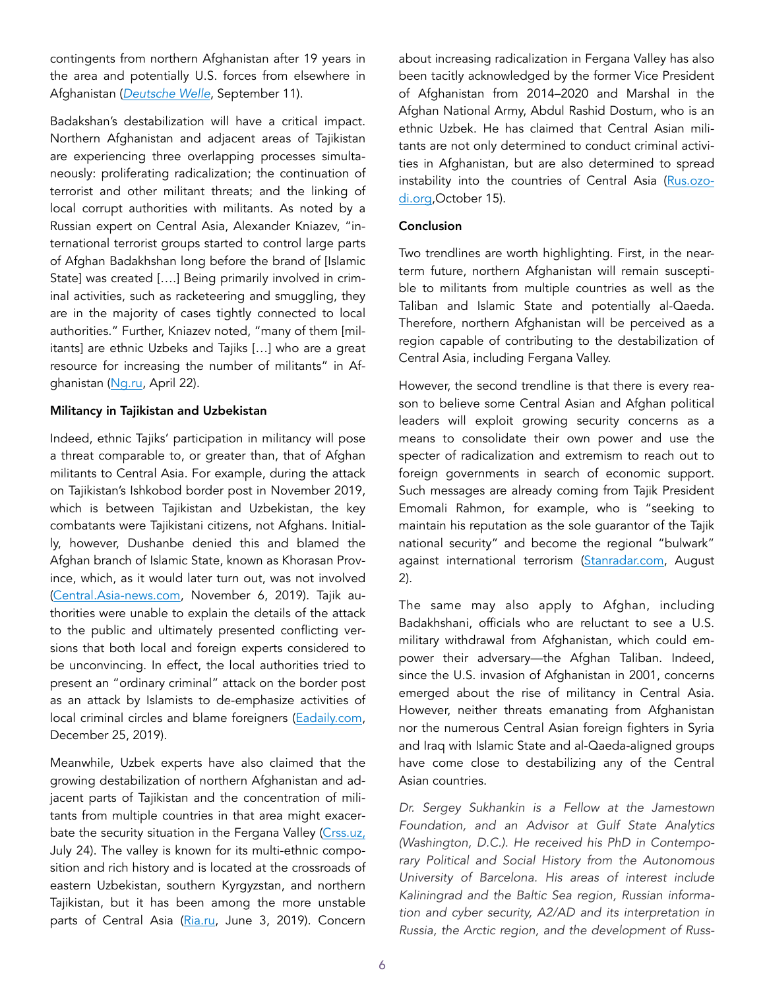contingents from northern Afghanistan after 19 years in the area and potentially U.S. forces from elsewhere in Afghanistan (*[Deutsche Welle](https://www.dw.com/en/germanys-long-military-mission-in-afghanistan/a-54884893)*, September 11).

Badakshan's destabilization will have a critical impact. Northern Afghanistan and adjacent areas of Tajikistan are experiencing three overlapping processes simultaneously: proliferating radicalization; the continuation of terrorist and other militant threats; and the linking of local corrupt authorities with militants. As noted by a Russian expert on Central Asia, Alexander Kniazev, "international terrorist groups started to control large parts of Afghan Badakhshan long before the brand of [Islamic State] was created [….] Being primarily involved in criminal activities, such as racketeering and smuggling, they are in the majority of cases tightly connected to local authorities." Further, Kniazev noted, "many of them [militants] are ethnic Uzbeks and Tajiks […] who are a great resource for increasing the number of militants" in Afghanistan ([Ng.ru](https://www.ng.ru/cis/2020-04-22/5_7850_tajikistan.html), April 22).

#### Militancy in Tajikistan and Uzbekistan

Indeed, ethnic Tajiks' participation in militancy will pose a threat comparable to, or greater than, that of Afghan militants to Central Asia. For example, during the attack on Tajikistan's Ishkobod border post in November 2019, which is between Tajikistan and Uzbekistan, the key combatants were Tajikistani citizens, not Afghans. Initially, however, Dushanbe denied this and blamed the Afghan branch of Islamic State, known as Khorasan Province, which, as it would later turn out, was not involved ([Central.Asia-news.com](https://central.asia-news.com/en_GB/articles/cnmi_ca/features/2019/11/06/feature-02), November 6, 2019). Tajik authorities were unable to explain the details of the attack to the public and ultimately presented conflicting versions that both local and foreign experts considered to be unconvincing. In effect, the local authorities tried to present an "ordinary criminal" attack on the border post as an attack by Islamists to de-emphasize activities of local criminal circles and blame foreigners ([Eadaily.com,](https://eadaily.com/ru/news/2019/12/25/tayna-zastavy-ishkobod-kto-na-samom-dele-napal-na-tadzhikskih-pogranichnikov) December 25, 2019).

Meanwhile, Uzbek experts have also claimed that the growing destabilization of northern Afghanistan and adjacent parts of Tajikistan and the concentration of militants from multiple countries in that area might exacer-bate the security situation in the Fergana Valley [\(Crss.uz,](https://crss.uz/2020/07/24/boeviki-skaplivayutsya-u-tadzhikskoj-granicy-mnenie-eksperta/) July 24). The valley is known for its multi-ethnic composition and rich history and is located at the crossroads of eastern Uzbekistan, southern Kyrgyzstan, and northern Tajikistan, but it has been among the more unstable parts of Central Asia [\(Ria.ru](https://ria.ru/20190603/1555143576.html), June 3, 2019). Concern about increasing radicalization in Fergana Valley has also been tacitly acknowledged by the former Vice President of Afghanistan from 2014–2020 and Marshal in the Afghan National Army, Abdul Rashid Dostum, who is an ethnic Uzbek. He has claimed that Central Asian militants are not only determined to conduct criminal activities in Afghanistan, but are also determined to spread instability into the countries of Central Asia [\(Rus.ozo](https://rus.ozodi.org/a/30894422.html)[di.org,](https://rus.ozodi.org/a/30894422.html)October 15).

## Conclusion

Two trendlines are worth highlighting. First, in the nearterm future, northern Afghanistan will remain susceptible to militants from multiple countries as well as the Taliban and Islamic State and potentially al-Qaeda. Therefore, northern Afghanistan will be perceived as a region capable of contributing to the destabilization of Central Asia, including Fergana Valley.

However, the second trendline is that there is every reason to believe some Central Asian and Afghan political leaders will exploit growing security concerns as a means to consolidate their own power and use the specter of radicalization and extremism to reach out to foreign governments in search of economic support. Such messages are already coming from Tajik President Emomali Rahmon, for example, who is "seeking to maintain his reputation as the sole guarantor of the Tajik national security" and become the regional "bulwark" against international terrorism ([Stanradar.com,](https://stanradar.com/news/full/40668-na-tadzhikskoj-granitse-tuchi-hodjat-hmuro-est-li-povod-dlja-bespokojstva.html) August 2).

The same may also apply to Afghan, including Badakhshani, officials who are reluctant to see a U.S. military withdrawal from Afghanistan, which could empower their adversary—the Afghan Taliban. Indeed, since the U.S. invasion of Afghanistan in 2001, concerns emerged about the rise of militancy in Central Asia. However, neither threats emanating from Afghanistan nor the numerous Central Asian foreign fighters in Syria and Iraq with Islamic State and al-Qaeda-aligned groups have come close to destabilizing any of the Central Asian countries.

*Dr. Sergey Sukhankin is a Fellow at the Jamestown Foundation, and an Advisor at Gulf State Analytics (Washington, D.C.). He received his PhD in Contemporary Political and Social History from the Autonomous University of Barcelona. His areas of interest include Kaliningrad and the Baltic Sea region, Russian information and cyber security, A2/AD and its interpretation in Russia, the Arctic region, and the development of Russ-*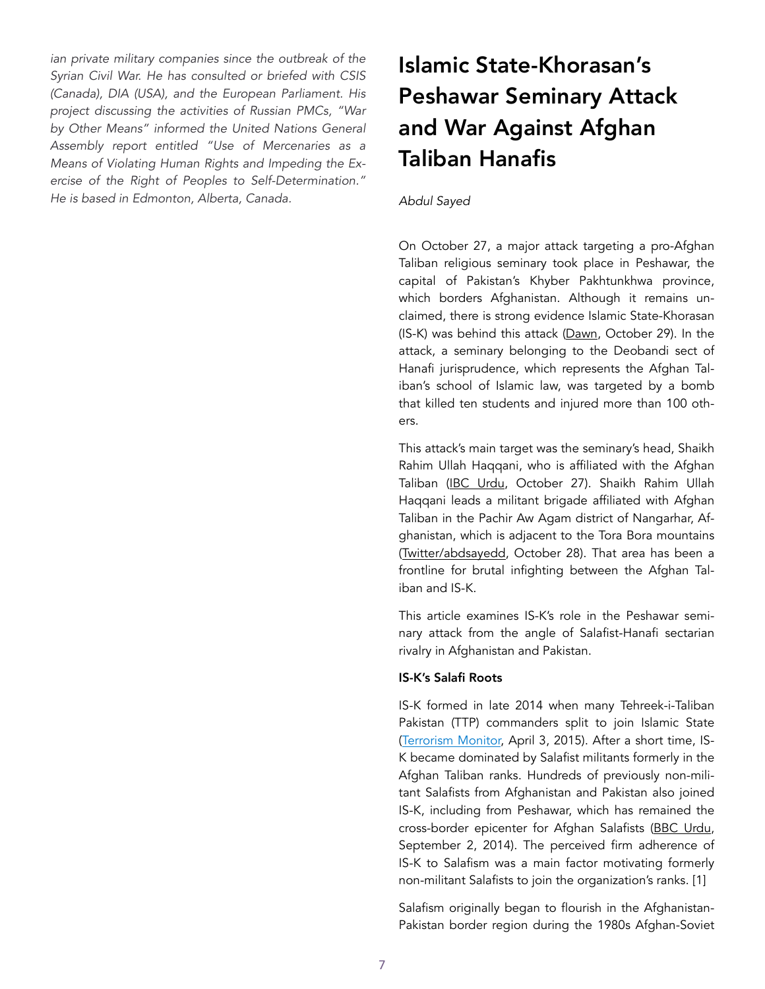*ian private military companies since the outbreak of the Syrian Civil War. He has consulted or briefed with CSIS (Canada), DIA (USA), and the European Parliament. His project discussing the activities of Russian PMCs, "War by Other Means" informed the United Nations General Assembly report entitled "Use of Mercenaries as a Means of Violating Human Rights and Impeding the Exercise of the Right of Peoples to Self-Determination." He is based in Edmonton, Alberta, Canada.* 

# Islamic State-Khorasan's Peshawar Seminary Attack and War Against Afghan Taliban Hanafis

#### *Abdul Sayed*

On October 27, a major attack targeting a pro-Afghan Taliban religious seminary took place in Peshawar, the capital of Pakistan's Khyber Pakhtunkhwa province, which borders Afghanistan. Although it remains unclaimed, there is strong evidence Islamic State-Khorasan (IS-K) was behind this attack ([Dawn](https://www.dawn.com/news/1587584/peshawar-blast), October 29). In the attack, a seminary belonging to the Deobandi sect of Hanafi jurisprudence, which represents the Afghan Taliban's school of Islamic law, was targeted by a bomb that killed ten students and injured more than 100 others.

This attack's main target was the seminary's head, Shaikh Rahim Ullah Haqqani, who is affiliated with the Afghan Taliban ([IBC Urdu,](https://ibcurdu.com/news/116774/) October 27). Shaikh Rahim Ullah Haqqani leads a militant brigade affiliated with Afghan Taliban in the Pachir Aw Agam district of Nangarhar, Afghanistan, which is adjacent to the Tora Bora mountains ([Twitter/abdsayedd,](https://twitter.com/abdsayedd/status/1321369497543081984?s=20) October 28). That area has been a frontline for brutal infighting between the Afghan Taliban and IS-K.

This article examines IS-K's role in the Peshawar seminary attack from the angle of Salafist-Hanafi sectarian rivalry in Afghanistan and Pakistan.

#### IS-K's Salafi Roots

IS-K formed in late 2014 when many Tehreek-i-Taliban Pakistan (TTP) commanders split to join Islamic State ([Terrorism Monitor,](https://jamestown.org/program/wilayat-khurasan-islamic-state-consolidates-position-in-afpak-region/) April 3, 2015). After a short time, IS-K became dominated by Salafist militants formerly in the Afghan Taliban ranks. Hundreds of previously non-militant Salafists from Afghanistan and Pakistan also joined IS-K, including from Peshawar, which has remained the cross-border epicenter for Afghan Salafists [\(BBC Urdu](https://www.bbc.com/urdu/pakistan/2014/09/140902_is_manifesto_peshawar_ra), September 2, 2014). The perceived firm adherence of IS-K to Salafism was a main factor motivating formerly non-militant Salafists to join the organization's ranks. [1]

Salafism originally began to flourish in the Afghanistan-Pakistan border region during the 1980s Afghan-Soviet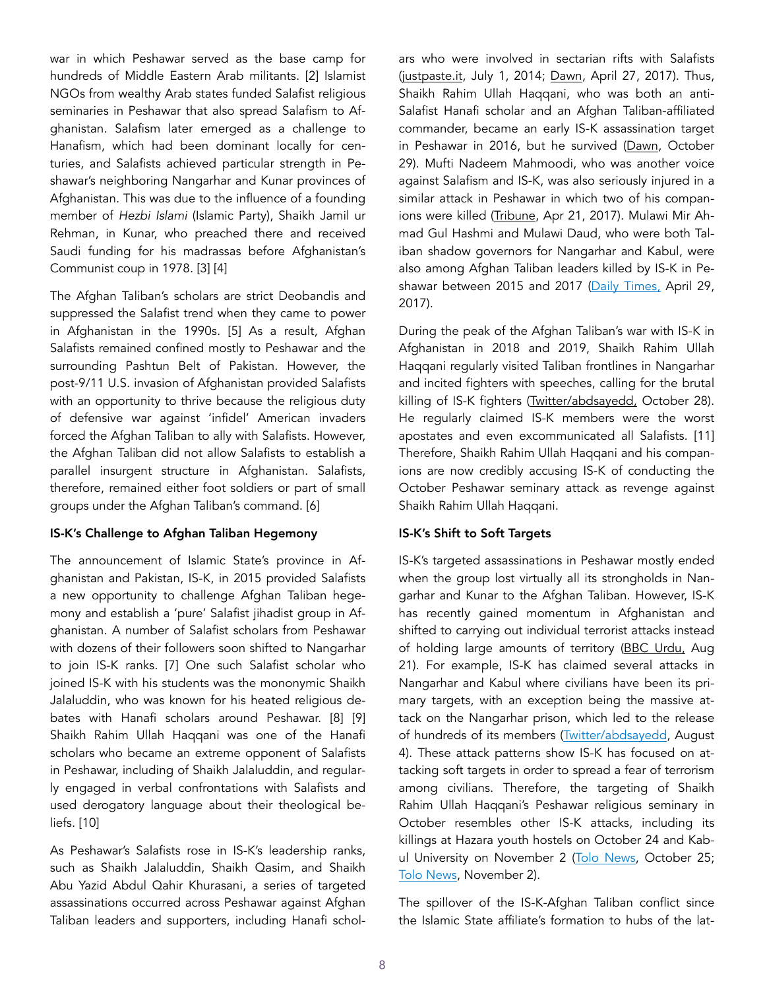war in which Peshawar served as the base camp for hundreds of Middle Eastern Arab militants. [2] Islamist NGOs from wealthy Arab states funded Salafist religious seminaries in Peshawar that also spread Salafism to Afghanistan. Salafism later emerged as a challenge to Hanafism, which had been dominant locally for centuries, and Salafists achieved particular strength in Peshawar's neighboring Nangarhar and Kunar provinces of Afghanistan. This was due to the influence of a founding member of *Hezbi Islami* (Islamic Party), Shaikh Jamil ur Rehman, in Kunar, who preached there and received Saudi funding for his madrassas before Afghanistan's Communist coup in 1978. [3] [4]

The Afghan Taliban's scholars are strict Deobandis and suppressed the Salafist trend when they came to power in Afghanistan in the 1990s. [5] As a result, Afghan Salafists remained confined mostly to Peshawar and the surrounding Pashtun Belt of Pakistan. However, the post-9/11 U.S. invasion of Afghanistan provided Salafists with an opportunity to thrive because the religious duty of defensive war against 'infidel' American invaders forced the Afghan Taliban to ally with Salafists. However, the Afghan Taliban did not allow Salafists to establish a parallel insurgent structure in Afghanistan. Salafists, therefore, remained either foot soldiers or part of small groups under the Afghan Taliban's command. [6]

## IS-K's Challenge to Afghan Taliban Hegemony

The announcement of Islamic State's province in Afghanistan and Pakistan, IS-K, in 2015 provided Salafists a new opportunity to challenge Afghan Taliban hegemony and establish a 'pure' Salafist jihadist group in Afghanistan. A number of Salafist scholars from Peshawar with dozens of their followers soon shifted to Nangarhar to join IS-K ranks. [7] One such Salafist scholar who joined IS-K with his students was the mononymic Shaikh Jalaluddin, who was known for his heated religious debates with Hanafi scholars around Peshawar. [8] [9] Shaikh Rahim Ullah Haqqani was one of the Hanafi scholars who became an extreme opponent of Salafists in Peshawar, including of Shaikh Jalaluddin, and regularly engaged in verbal confrontations with Salafists and used derogatory language about their theological beliefs. [10]

As Peshawar's Salafists rose in IS-K's leadership ranks, such as Shaikh Jalaluddin, Shaikh Qasim, and Shaikh Abu Yazid Abdul Qahir Khurasani, a series of targeted assassinations occurred across Peshawar against Afghan Taliban leaders and supporters, including Hanafi scholars who were involved in sectarian rifts with Salafists ([justpaste.it](https://justpaste.it/g27f), July 1, 2014; [Dawn](https://www.dawn.com/news/1330125), April 27, 2017). Thus, Shaikh Rahim Ullah Haqqani, who was both an anti-Salafist Hanafi scholar and an Afghan Taliban-affiliated commander, became an early IS-K assassination target in Peshawar in 2016, but he survived ([Dawn,](https://www.dawn.com/news/1587584/peshawar-blast) October 29). Mufti Nadeem Mahmoodi, who was another voice against Salafism and IS-K, was also seriously injured in a similar attack in Peshawar in which two of his companions were killed ([Tribune,](https://tribune.com.pk/story/1390253/peshawar-police-suspects-behind-weeks-murders-pro-afghan-taliban-clerics) Apr 21, 2017). Mulawi Mir Ahmad Gul Hashmi and Mulawi Daud, who were both Taliban shadow governors for Nangarhar and Kabul, were also among Afghan Taliban leaders killed by IS-K in Pe-shawar between 2015 and 2017 [\(Daily Times,](https://dailytimes.com.pk/14483/senior-afghan-taliban-leader-shot-dead-in-peshawar/) April 29, 2017).

During the peak of the Afghan Taliban's war with IS-K in Afghanistan in 2018 and 2019, Shaikh Rahim Ullah Haqqani regularly visited Taliban frontlines in Nangarhar and incited fighters with speeches, calling for the brutal killing of IS-K fighters [\(Twitter/abdsayedd,](https://twitter.com/abdsayedd/status/1321369499560456193?s=20) October 28). He regularly claimed IS-K members were the worst apostates and even excommunicated all Salafists. [11] Therefore, Shaikh Rahim Ullah Haqqani and his companions are now credibly accusing IS-K of conducting the October Peshawar seminary attack as revenge against Shaikh Rahim Ullah Haqqani.

## IS-K's Shift to Soft Targets

IS-K's targeted assassinations in Peshawar mostly ended when the group lost virtually all its strongholds in Nangarhar and Kunar to the Afghan Taliban. However, IS-K has recently gained momentum in Afghanistan and shifted to carrying out individual terrorist attacks instead of holding large amounts of territory ([BBC Urdu,](https://www.bbc.com/urdu/regional-53834740) Aug 21). For example, IS-K has claimed several attacks in Nangarhar and Kabul where civilians have been its primary targets, with an exception being the massive attack on the Nangarhar prison, which led to the release of hundreds of its members [\(Twitter/abdsayedd](https://twitter.com/abdsayedd/status/1290412508822503424?s=20), August 4). These attack patterns show IS-K has focused on attacking soft targets in order to spread a fear of terrorism among civilians. Therefore, the targeting of Shaikh Rahim Ullah Haqqani's Peshawar religious seminary in October resembles other IS-K attacks, including its killings at Hazara youth hostels on October 24 and Kabul University on November 2 ([Tolo News,](https://tolonews.com/afghanistan-167302) October 25; [Tolo News,](https://tolonews.com/afghanistan-167483) November 2).

The spillover of the IS-K-Afghan Taliban conflict since the Islamic State affiliate's formation to hubs of the lat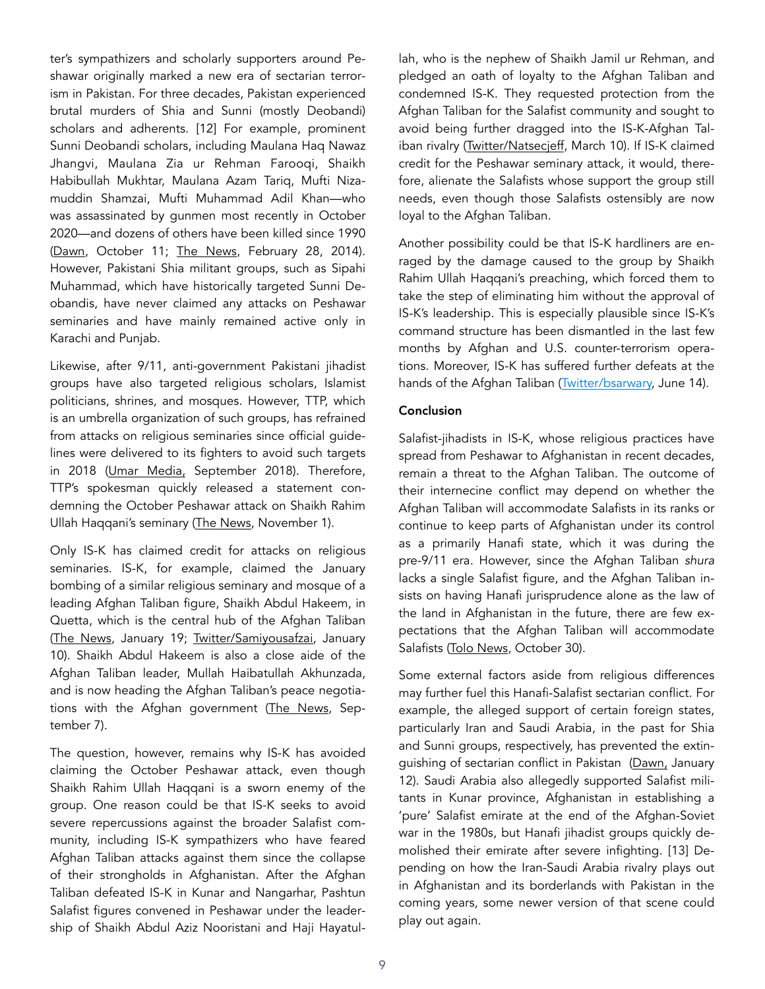ter's sympathizers and scholarly supporters around Peshawar originally marked a new era of sectarian terrorism in Pakistan. For three decades, Pakistan experienced brutal murders of Shia and Sunni (mostly Deobandi) scholars and adherents. [12] For example, prominent Sunni Deobandi scholars, including Maulana Haq Nawaz Jhangvi, Maulana Zia ur Rehman Farooqi, Shaikh Habibullah Mukhtar, Maulana Azam Tariq, Mufti Nizamuddin Shamzai, Mufti Muhammad Adil Khan—who was assassinated by gunmen most recently in October 2020—and dozens of others have been killed since 1990 ([Dawn,](https://www.dawn.com/news/1584316) October 11; [The News,](https://www.thenews.com.pk/archive/print/487987-eminent-religious-leaders-killed-in-25-years) February 28, 2014). However, Pakistani Shia militant groups, such as Sipahi Muhammad, which have historically targeted Sunni Deobandis, have never claimed any attacks on Peshawar seminaries and have mainly remained active only in Karachi and Punjab.

Likewise, after 9/11, anti-government Pakistani jihadist groups have also targeted religious scholars, Islamist politicians, shrines, and mosques. However, TTP, which is an umbrella organization of such groups, has refrained from attacks on religious seminaries since official guidelines were delivered to its fighters to avoid such targets in 2018 ([Umar Media,](https://umarmedia.net/?page_id=50) September 2018). Therefore, TTP's spokesman quickly released a statement condemning the October Peshawar attack on Shaikh Rahim Ullah Haqqani's seminary [\(The News,](https://www.thenews.com.pk/tns/detail/736951-a-new-wave-of-terror) November 1).

Only IS-K has claimed credit for attacks on religious seminaries. IS-K, for example, claimed the January bombing of a similar religious seminary and mosque of a leading Afghan Taliban figure, Shaikh Abdul Hakeem, in Quetta, which is the central hub of the Afghan Taliban ([The News](https://www.thenews.com.pk/tns/detail/599989-taliban-vs-islamic-state), January 19; [Twitter/Samiyousafzai,](https://twitter.com/Samiyousafzai/status/1215633315639758848?s=20) January 10). Shaikh Abdul Hakeem is also a close aide of the Afghan Taliban leader, Mullah Haibatullah Akhunzada, and is now heading the Afghan Taliban's peace negotiations with the Afghan government [\(The News](https://www.thenews.com.pk/print/711248-afghan-taliban-replace-head-of-negotiating-team), September 7).

The question, however, remains why IS-K has avoided claiming the October Peshawar attack, even though Shaikh Rahim Ullah Haqqani is a sworn enemy of the group. One reason could be that IS-K seeks to avoid severe repercussions against the broader Salafist community, including IS-K sympathizers who have feared Afghan Taliban attacks against them since the collapse of their strongholds in Afghanistan. After the Afghan Taliban defeated IS-K in Kunar and Nangarhar, Pashtun Salafist figures convened in Peshawar under the leadership of Shaikh Abdul Aziz Nooristani and Haji Hayatullah, who is the nephew of Shaikh Jamil ur Rehman, and pledged an oath of loyalty to the Afghan Taliban and condemned IS-K. They requested protection from the Afghan Taliban for the Salafist community and sought to avoid being further dragged into the IS-K-Afghan Taliban rivalry [\(Twitter/Natsecjeff,](https://twitter.com/Natsecjeff/status/1237351316613144576?s=20) March 10). If IS-K claimed credit for the Peshawar seminary attack, it would, therefore, alienate the Salafists whose support the group still needs, even though those Salafists ostensibly are now loyal to the Afghan Taliban.

Another possibility could be that IS-K hardliners are enraged by the damage caused to the group by Shaikh Rahim Ullah Haqqani's preaching, which forced them to take the step of eliminating him without the approval of IS-K's leadership. This is especially plausible since IS-K's command structure has been dismantled in the last few months by Afghan and U.S. counter-terrorism operations. Moreover, IS-K has suffered further defeats at the hands of the Afghan Taliban ([Twitter/bsarwary,](https://twitter.com/bsarwary/status/1272207814325350402?s=20) June 14).

## Conclusion

Salafist-jihadists in IS-K, whose religious practices have spread from Peshawar to Afghanistan in recent decades, remain a threat to the Afghan Taliban. The outcome of their internecine conflict may depend on whether the Afghan Taliban will accommodate Salafists in its ranks or continue to keep parts of Afghanistan under its control as a primarily Hanafi state, which it was during the pre-9/11 era. However, since the Afghan Taliban *shura*  lacks a single Salafist figure, and the Afghan Taliban insists on having Hanafi jurisprudence alone as the law of the land in Afghanistan in the future, there are few expectations that the Afghan Taliban will accommodate Salafists [\(Tolo News,](https://tolonews.com/opinion-167405) October 30).

Some external factors aside from religious differences may further fuel this Hanafi-Salafist sectarian conflict. For example, the alleged support of certain foreign states, particularly Iran and Saudi Arabia, in the past for Shia and Sunni groups, respectively, has prevented the extinguishing of sectarian conflict in Pakistan [\(Dawn,](https://www.dawn.com/news/1527846) January 12). Saudi Arabia also allegedly supported Salafist militants in Kunar province, Afghanistan in establishing a 'pure' Salafist emirate at the end of the Afghan-Soviet war in the 1980s, but Hanafi jihadist groups quickly demolished their emirate after severe infighting. [13] Depending on how the Iran-Saudi Arabia rivalry plays out in Afghanistan and its borderlands with Pakistan in the coming years, some newer version of that scene could play out again.